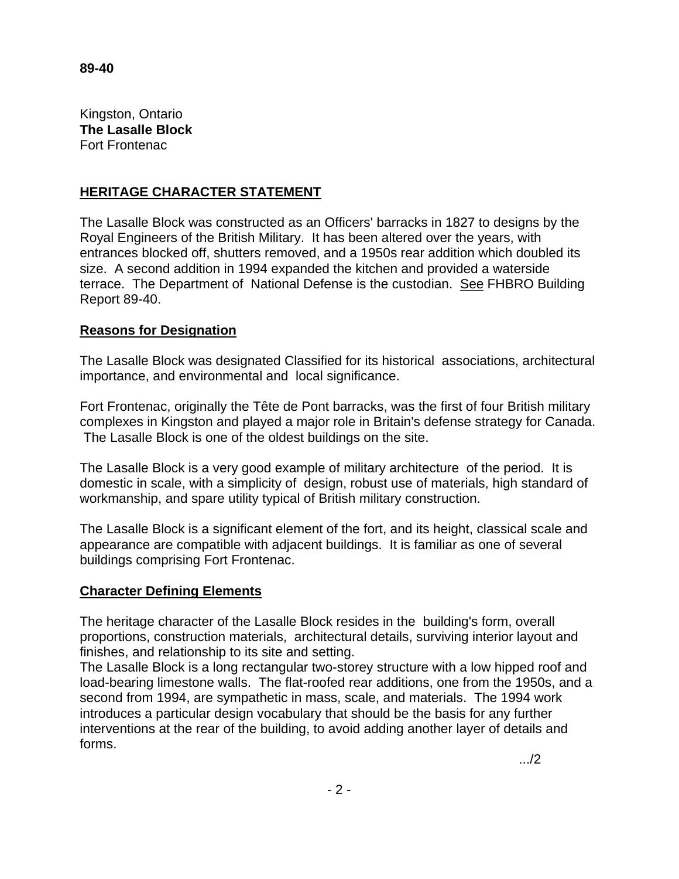Kingston, Ontario **The Lasalle Block** Fort Frontenac

## **HERITAGE CHARACTER STATEMENT**

The Lasalle Block was constructed as an Officers' barracks in 1827 to designs by the Royal Engineers of the British Military. It has been altered over the years, with entrances blocked off, shutters removed, and a 1950s rear addition which doubled its size. A second addition in 1994 expanded the kitchen and provided a waterside terrace. The Department of National Defense is the custodian. See FHBRO Building Report 89-40.

## **Reasons for Designation**

The Lasalle Block was designated Classified for its historical associations, architectural importance, and environmental and local significance.

Fort Frontenac, originally the Tête de Pont barracks, was the first of four British military complexes in Kingston and played a major role in Britain's defense strategy for Canada. The Lasalle Block is one of the oldest buildings on the site.

The Lasalle Block is a very good example of military architecture of the period. It is domestic in scale, with a simplicity of design, robust use of materials, high standard of workmanship, and spare utility typical of British military construction.

The Lasalle Block is a significant element of the fort, and its height, classical scale and appearance are compatible with adjacent buildings. It is familiar as one of several buildings comprising Fort Frontenac.

## **Character Defining Elements**

The heritage character of the Lasalle Block resides in the building's form, overall proportions, construction materials, architectural details, surviving interior layout and finishes, and relationship to its site and setting.

The Lasalle Block is a long rectangular two-storey structure with a low hipped roof and load-bearing limestone walls. The flat-roofed rear additions, one from the 1950s, and a second from 1994, are sympathetic in mass, scale, and materials. The 1994 work introduces a particular design vocabulary that should be the basis for any further interventions at the rear of the building, to avoid adding another layer of details and forms.

.../2